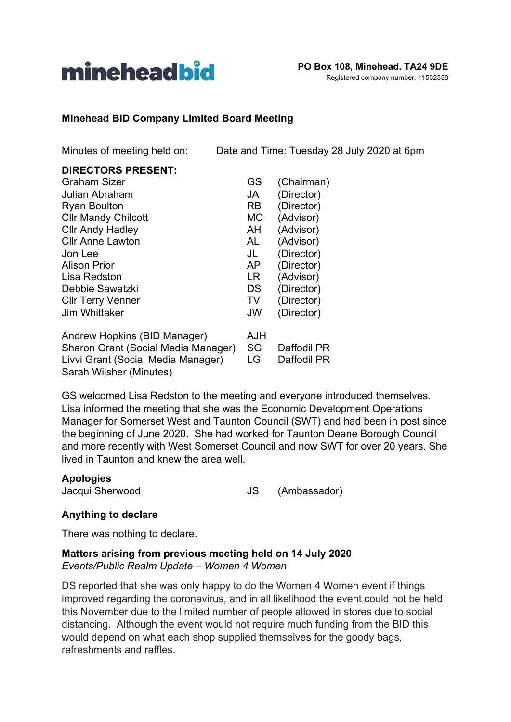

## **Minehead BID Company Limited Board Meeting**

Minutes of meeting held on: Date and Time: Tuesday 28 July 2020 at 6pm

| <b>DIRECTORS PRESENT:</b>           |           |             |
|-------------------------------------|-----------|-------------|
| Graham Sizer                        | GS        | (Chairman)  |
| Julian Abraham                      | JA        | (Director)  |
| <b>Ryan Boulton</b>                 | <b>RB</b> | (Director)  |
| <b>Cllr Mandy Chilcott</b>          | <b>MC</b> | (Advisor)   |
| <b>Cllr Andy Hadley</b>             | AH        | (Advisor)   |
| <b>Cllr Anne Lawton</b>             | AL        | (Advisor)   |
| Jon Lee                             | JL        | (Director)  |
| <b>Alison Prior</b>                 | AP        | (Director)  |
| Lisa Redston                        | LR        | (Advisor)   |
| Debbie Sawatzki                     | DS        | (Director)  |
| <b>CIIr Terry Venner</b>            | TV        | (Director)  |
| Jim Whittaker                       | <b>JW</b> | (Director)  |
| Andrew Hopkins (BID Manager)        | AJH       |             |
| Sharon Grant (Social Media Manager) | SG        | Daffodil PR |
| Livvi Grant (Social Media Manager)  | LG        | Daffodil PR |
| Sarah Wilsher (Minutes)             |           |             |

GS welcomed Lisa Redston to the meeting and everyone introduced themselves. Lisa informed the meeting that she was the Economic Development Operations Manager for Somerset West and Taunton Council (SWT) and had been in post since the beginning of June 2020. She had worked for Taunton Deane Borough Council and more recently with West Somerset Council and now SWT for over 20 years. She lived in Taunton and knew the area well.

#### **Apologies**

Jacqui Sherwood **JS** (Ambassador)

## **Anything to declare**

There was nothing to declare.

#### **Matters arising from previous meeting held on 14 July 2020** *Events/Public Realm Update – Women 4 Women*

DS reported that she was only happy to do the Women 4 Women event if things improved regarding the coronavirus, and in all likelihood the event could not be held this November due to the limited number of people allowed in stores due to social distancing. Although the event would not require much funding from the BID this would depend on what each shop supplied themselves for the goody bags, refreshments and raffles.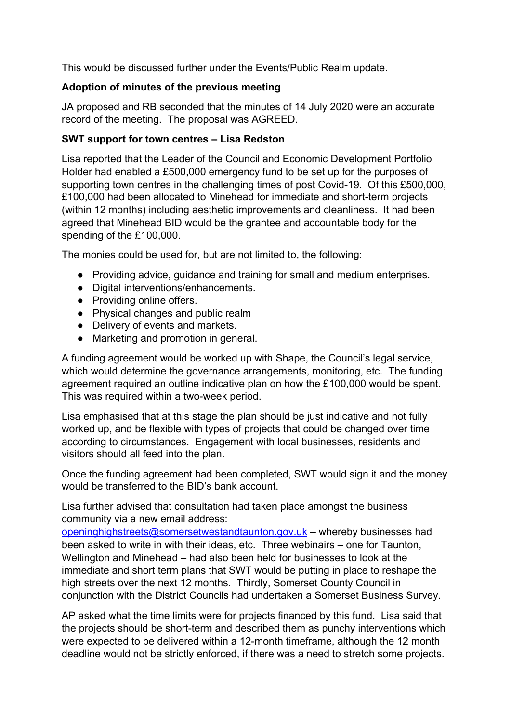This would be discussed further under the Events/Public Realm update.

## **Adoption of minutes of the previous meeting**

JA proposed and RB seconded that the minutes of 14 July 2020 were an accurate record of the meeting. The proposal was AGREED.

## **SWT support for town centres – Lisa Redston**

Lisa reported that the Leader of the Council and Economic Development Portfolio Holder had enabled a £500,000 emergency fund to be set up for the purposes of supporting town centres in the challenging times of post Covid-19. Of this £500,000, £100,000 had been allocated to Minehead for immediate and short-term projects (within 12 months) including aesthetic improvements and cleanliness. It had been agreed that Minehead BID would be the grantee and accountable body for the spending of the £100,000.

The monies could be used for, but are not limited to, the following:

- Providing advice, guidance and training for small and medium enterprises.
- Digital interventions/enhancements.
- Providing online offers.
- Physical changes and public realm
- Delivery of events and markets.
- Marketing and promotion in general.

A funding agreement would be worked up with Shape, the Council's legal service, which would determine the governance arrangements, monitoring, etc. The funding agreement required an outline indicative plan on how the £100,000 would be spent. This was required within a two-week period.

Lisa emphasised that at this stage the plan should be just indicative and not fully worked up, and be flexible with types of projects that could be changed over time according to circumstances. Engagement with local businesses, residents and visitors should all feed into the plan.

Once the funding agreement had been completed, SWT would sign it and the money would be transferred to the BID's bank account.

Lisa further advised that consultation had taken place amongst the business community via a new email address:

[openinghighstreets@somersetwestandtaunton.gov.uk](mailto:openinghighstreets@somersetwestandtaunton.gov.uk) – whereby businesses had been asked to write in with their ideas, etc. Three webinairs – one for Taunton, Wellington and Minehead – had also been held for businesses to look at the immediate and short term plans that SWT would be putting in place to reshape the high streets over the next 12 months. Thirdly, Somerset County Council in conjunction with the District Councils had undertaken a Somerset Business Survey.

AP asked what the time limits were for projects financed by this fund. Lisa said that the projects should be short-term and described them as punchy interventions which were expected to be delivered within a 12-month timeframe, although the 12 month deadline would not be strictly enforced, if there was a need to stretch some projects.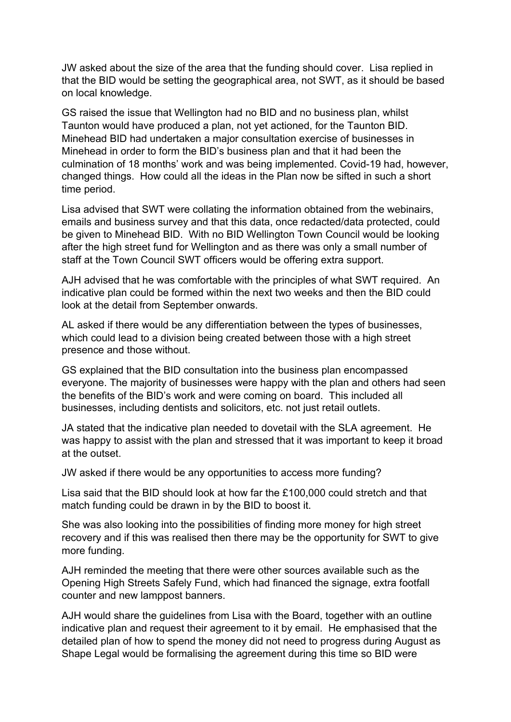JW asked about the size of the area that the funding should cover. Lisa replied in that the BID would be setting the geographical area, not SWT, as it should be based on local knowledge.

GS raised the issue that Wellington had no BID and no business plan, whilst Taunton would have produced a plan, not yet actioned, for the Taunton BID. Minehead BID had undertaken a major consultation exercise of businesses in Minehead in order to form the BID's business plan and that it had been the culmination of 18 months' work and was being implemented. Covid-19 had, however, changed things. How could all the ideas in the Plan now be sifted in such a short time period.

Lisa advised that SWT were collating the information obtained from the webinairs, emails and business survey and that this data, once redacted/data protected, could be given to Minehead BID. With no BID Wellington Town Council would be looking after the high street fund for Wellington and as there was only a small number of staff at the Town Council SWT officers would be offering extra support.

AJH advised that he was comfortable with the principles of what SWT required. An indicative plan could be formed within the next two weeks and then the BID could look at the detail from September onwards.

AL asked if there would be any differentiation between the types of businesses, which could lead to a division being created between those with a high street presence and those without.

GS explained that the BID consultation into the business plan encompassed everyone. The majority of businesses were happy with the plan and others had seen the benefits of the BID's work and were coming on board. This included all businesses, including dentists and solicitors, etc. not just retail outlets.

JA stated that the indicative plan needed to dovetail with the SLA agreement. He was happy to assist with the plan and stressed that it was important to keep it broad at the outset.

JW asked if there would be any opportunities to access more funding?

Lisa said that the BID should look at how far the £100,000 could stretch and that match funding could be drawn in by the BID to boost it.

She was also looking into the possibilities of finding more money for high street recovery and if this was realised then there may be the opportunity for SWT to give more funding.

AJH reminded the meeting that there were other sources available such as the Opening High Streets Safely Fund, which had financed the signage, extra footfall counter and new lamppost banners.

AJH would share the guidelines from Lisa with the Board, together with an outline indicative plan and request their agreement to it by email. He emphasised that the detailed plan of how to spend the money did not need to progress during August as Shape Legal would be formalising the agreement during this time so BID were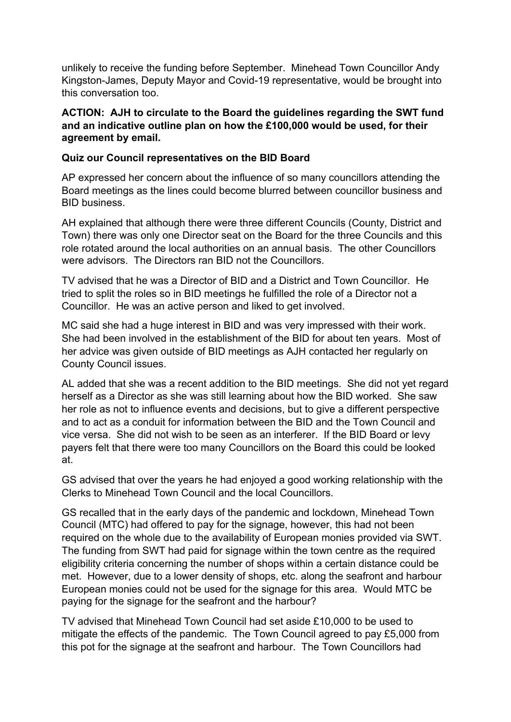unlikely to receive the funding before September. Minehead Town Councillor Andy Kingston-James, Deputy Mayor and Covid-19 representative, would be brought into this conversation too.

## **ACTION: AJH to circulate to the Board the guidelines regarding the SWT fund and an indicative outline plan on how the £100,000 would be used, for their agreement by email.**

## **Quiz our Council representatives on the BID Board**

AP expressed her concern about the influence of so many councillors attending the Board meetings as the lines could become blurred between councillor business and BID business.

AH explained that although there were three different Councils (County, District and Town) there was only one Director seat on the Board for the three Councils and this role rotated around the local authorities on an annual basis. The other Councillors were advisors. The Directors ran BID not the Councillors.

TV advised that he was a Director of BID and a District and Town Councillor. He tried to split the roles so in BID meetings he fulfilled the role of a Director not a Councillor. He was an active person and liked to get involved.

MC said she had a huge interest in BID and was very impressed with their work. She had been involved in the establishment of the BID for about ten years. Most of her advice was given outside of BID meetings as AJH contacted her regularly on County Council issues.

AL added that she was a recent addition to the BID meetings. She did not yet regard herself as a Director as she was still learning about how the BID worked. She saw her role as not to influence events and decisions, but to give a different perspective and to act as a conduit for information between the BID and the Town Council and vice versa. She did not wish to be seen as an interferer. If the BID Board or levy payers felt that there were too many Councillors on the Board this could be looked at.

GS advised that over the years he had enjoyed a good working relationship with the Clerks to Minehead Town Council and the local Councillors.

GS recalled that in the early days of the pandemic and lockdown, Minehead Town Council (MTC) had offered to pay for the signage, however, this had not been required on the whole due to the availability of European monies provided via SWT. The funding from SWT had paid for signage within the town centre as the required eligibility criteria concerning the number of shops within a certain distance could be met. However, due to a lower density of shops, etc. along the seafront and harbour European monies could not be used for the signage for this area. Would MTC be paying for the signage for the seafront and the harbour?

TV advised that Minehead Town Council had set aside £10,000 to be used to mitigate the effects of the pandemic. The Town Council agreed to pay £5,000 from this pot for the signage at the seafront and harbour. The Town Councillors had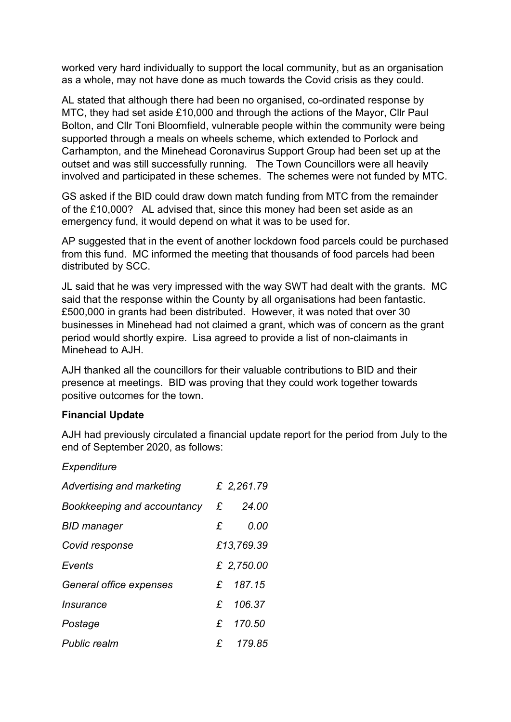worked very hard individually to support the local community, but as an organisation as a whole, may not have done as much towards the Covid crisis as they could.

AL stated that although there had been no organised, co-ordinated response by MTC, they had set aside £10,000 and through the actions of the Mayor, Cllr Paul Bolton, and Cllr Toni Bloomfield, vulnerable people within the community were being supported through a meals on wheels scheme, which extended to Porlock and Carhampton, and the Minehead Coronavirus Support Group had been set up at the outset and was still successfully running. The Town Councillors were all heavily involved and participated in these schemes. The schemes were not funded by MTC.

GS asked if the BID could draw down match funding from MTC from the remainder of the £10,000? AL advised that, since this money had been set aside as an emergency fund, it would depend on what it was to be used for.

AP suggested that in the event of another lockdown food parcels could be purchased from this fund. MC informed the meeting that thousands of food parcels had been distributed by SCC.

JL said that he was very impressed with the way SWT had dealt with the grants. MC said that the response within the County by all organisations had been fantastic. £500,000 in grants had been distributed. However, it was noted that over 30 businesses in Minehead had not claimed a grant, which was of concern as the grant period would shortly expire. Lisa agreed to provide a list of non-claimants in Minehead to AJH.

AJH thanked all the councillors for their valuable contributions to BID and their presence at meetings. BID was proving that they could work together towards positive outcomes for the town.

#### **Financial Update**

AJH had previously circulated a financial update report for the period from July to the end of September 2020, as follows:

#### *Expenditure*

| Advertising and marketing   |   | £ 2,261.79 |
|-----------------------------|---|------------|
| Bookkeeping and accountancy | £ | 24.00      |
| <b>BID manager</b>          | £ | 0.00       |
| Covid response              |   | £13,769.39 |
| Events                      |   | £ 2,750.00 |
| General office expenses     |   | £ 187.15   |
| Insurance                   |   | £ 106.37   |
| Postage                     |   | £ 170.50   |
| <b>Public realm</b>         |   | £ 179.85   |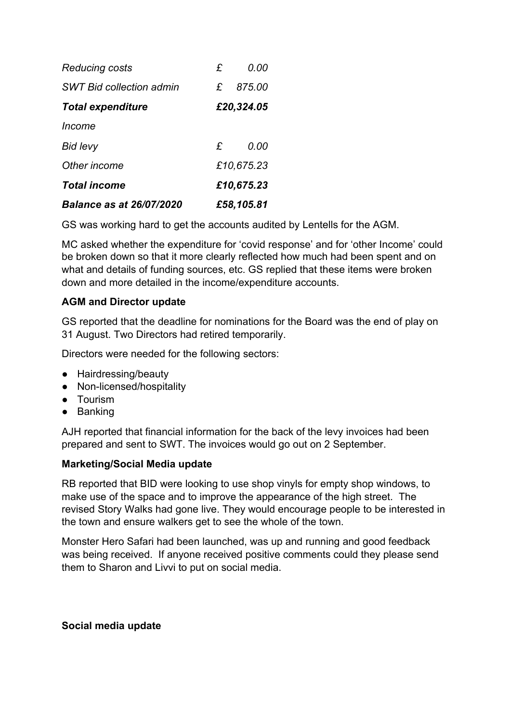| Reducing costs                  | £            | 0.00       |  |
|---------------------------------|--------------|------------|--|
| <b>SWT Bid collection admin</b> | £            | 875.00     |  |
| <b>Total expenditure</b>        | £20,324.05   |            |  |
| Income                          |              |            |  |
| Bid levy                        | $\mathbf{f}$ | 0.00       |  |
| Other income                    |              | £10,675.23 |  |
| <b>Total income</b>             |              | £10,675.23 |  |
| <b>Balance as at 26/07/2020</b> | £58,105.81   |            |  |

GS was working hard to get the accounts audited by Lentells for the AGM.

MC asked whether the expenditure for 'covid response' and for 'other Income' could be broken down so that it more clearly reflected how much had been spent and on what and details of funding sources, etc. GS replied that these items were broken down and more detailed in the income/expenditure accounts.

### **AGM and Director update**

GS reported that the deadline for nominations for the Board was the end of play on 31 August. Two Directors had retired temporarily.

Directors were needed for the following sectors:

- Hairdressing/beauty
- Non-licensed/hospitality
- Tourism
- Banking

AJH reported that financial information for the back of the levy invoices had been prepared and sent to SWT. The invoices would go out on 2 September.

#### **Marketing/Social Media update**

RB reported that BID were looking to use shop vinyls for empty shop windows, to make use of the space and to improve the appearance of the high street. The revised Story Walks had gone live. They would encourage people to be interested in the town and ensure walkers get to see the whole of the town.

Monster Hero Safari had been launched, was up and running and good feedback was being received. If anyone received positive comments could they please send them to Sharon and Livvi to put on social media.

#### **Social media update**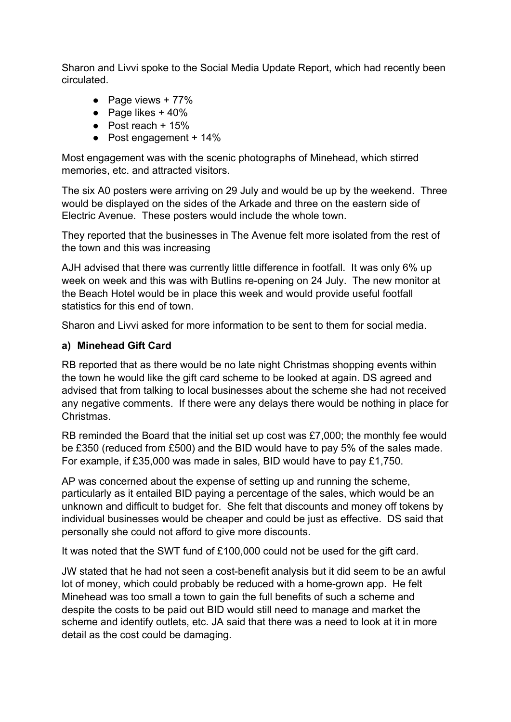Sharon and Livvi spoke to the Social Media Update Report, which had recently been circulated.

- $\bullet$  Page views + 77%
- $\bullet$  Page likes + 40%
- $\bullet$  Post reach + 15%
- $\bullet$  Post engagement + 14%

Most engagement was with the scenic photographs of Minehead, which stirred memories, etc. and attracted visitors.

The six A0 posters were arriving on 29 July and would be up by the weekend. Three would be displayed on the sides of the Arkade and three on the eastern side of Electric Avenue. These posters would include the whole town.

They reported that the businesses in The Avenue felt more isolated from the rest of the town and this was increasing

AJH advised that there was currently little difference in footfall. It was only 6% up week on week and this was with Butlins re-opening on 24 July. The new monitor at the Beach Hotel would be in place this week and would provide useful footfall statistics for this end of town.

Sharon and Livvi asked for more information to be sent to them for social media.

## **a) Minehead Gift Card**

RB reported that as there would be no late night Christmas shopping events within the town he would like the gift card scheme to be looked at again. DS agreed and advised that from talking to local businesses about the scheme she had not received any negative comments. If there were any delays there would be nothing in place for Christmas.

RB reminded the Board that the initial set up cost was £7,000; the monthly fee would be £350 (reduced from £500) and the BID would have to pay 5% of the sales made. For example, if £35,000 was made in sales, BID would have to pay £1,750.

AP was concerned about the expense of setting up and running the scheme, particularly as it entailed BID paying a percentage of the sales, which would be an unknown and difficult to budget for. She felt that discounts and money off tokens by individual businesses would be cheaper and could be just as effective. DS said that personally she could not afford to give more discounts.

It was noted that the SWT fund of £100,000 could not be used for the gift card.

JW stated that he had not seen a cost-benefit analysis but it did seem to be an awful lot of money, which could probably be reduced with a home-grown app. He felt Minehead was too small a town to gain the full benefits of such a scheme and despite the costs to be paid out BID would still need to manage and market the scheme and identify outlets, etc. JA said that there was a need to look at it in more detail as the cost could be damaging.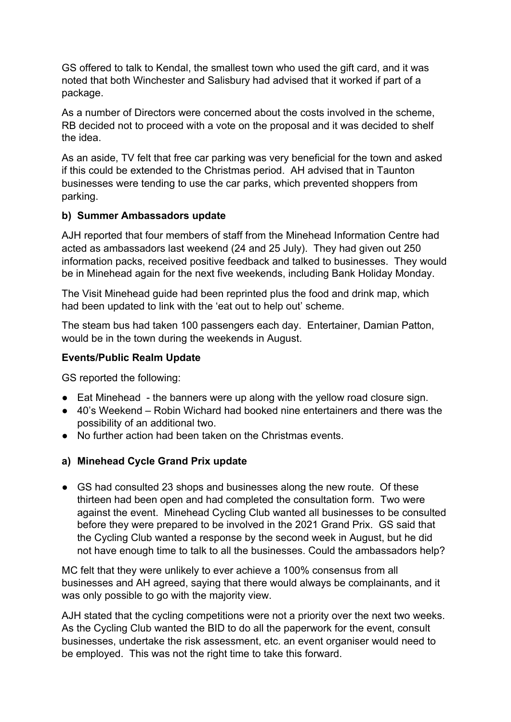GS offered to talk to Kendal, the smallest town who used the gift card, and it was noted that both Winchester and Salisbury had advised that it worked if part of a package.

As a number of Directors were concerned about the costs involved in the scheme, RB decided not to proceed with a vote on the proposal and it was decided to shelf the idea.

As an aside, TV felt that free car parking was very beneficial for the town and asked if this could be extended to the Christmas period. AH advised that in Taunton businesses were tending to use the car parks, which prevented shoppers from parking.

### **b) Summer Ambassadors update**

AJH reported that four members of staff from the Minehead Information Centre had acted as ambassadors last weekend (24 and 25 July). They had given out 250 information packs, received positive feedback and talked to businesses. They would be in Minehead again for the next five weekends, including Bank Holiday Monday.

The Visit Minehead guide had been reprinted plus the food and drink map, which had been updated to link with the 'eat out to help out' scheme.

The steam bus had taken 100 passengers each day. Entertainer, Damian Patton, would be in the town during the weekends in August.

### **Events/Public Realm Update**

GS reported the following:

- Eat Minehead the banners were up along with the yellow road closure sign.
- 40's Weekend Robin Wichard had booked nine entertainers and there was the possibility of an additional two.
- No further action had been taken on the Christmas events.

## **a) Minehead Cycle Grand Prix update**

• GS had consulted 23 shops and businesses along the new route. Of these thirteen had been open and had completed the consultation form. Two were against the event. Minehead Cycling Club wanted all businesses to be consulted before they were prepared to be involved in the 2021 Grand Prix. GS said that the Cycling Club wanted a response by the second week in August, but he did not have enough time to talk to all the businesses. Could the ambassadors help?

MC felt that they were unlikely to ever achieve a 100% consensus from all businesses and AH agreed, saying that there would always be complainants, and it was only possible to go with the majority view.

AJH stated that the cycling competitions were not a priority over the next two weeks. As the Cycling Club wanted the BID to do all the paperwork for the event, consult businesses, undertake the risk assessment, etc. an event organiser would need to be employed. This was not the right time to take this forward.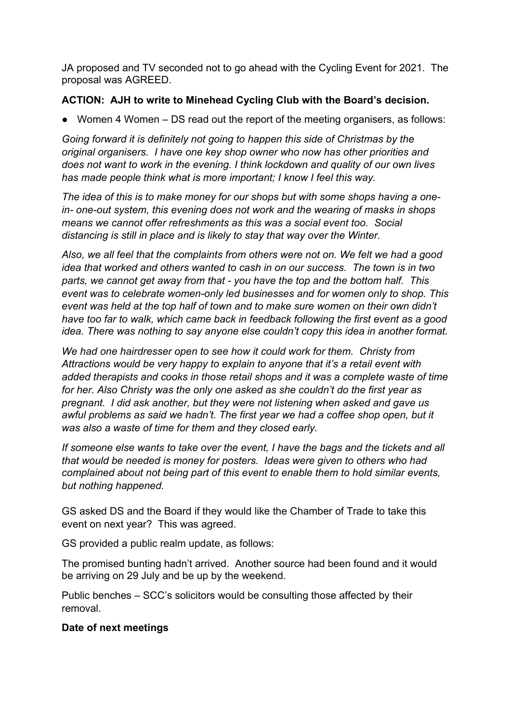JA proposed and TV seconded not to go ahead with the Cycling Event for 2021. The proposal was AGREED.

## **ACTION: AJH to write to Minehead Cycling Club with the Board's decision.**

● Women 4 Women – DS read out the report of the meeting organisers, as follows:

*Going forward it is definitely not going to happen this side of Christmas by the original organisers. I have one key shop owner who now has other priorities and does not want to work in the evening. I think lockdown and quality of our own lives has made people think what is more important; I know I feel this way.*

*The idea of this is to make money for our shops but with some shops having a onein- one-out system, this evening does not work and the wearing of masks in shops means we cannot offer refreshments as this was a social event too. Social distancing is still in place and is likely to stay that way over the Winter.*

*Also, we all feel that the complaints from others were not on. We felt we had a good idea that worked and others wanted to cash in on our success. The town is in two parts, we cannot get away from that - you have the top and the bottom half. This event was to celebrate women-only led businesses and for women only to shop. This event was held at the top half of town and to make sure women on their own didn't have too far to walk, which came back in feedback following the first event as a good idea. There was nothing to say anyone else couldn't copy this idea in another format.*

*We had one hairdresser open to see how it could work for them. Christy from Attractions would be very happy to explain to anyone that it's a retail event with added therapists and cooks in those retail shops and it was a complete waste of time for her. Also Christy was the only one asked as she couldn't do the first year as pregnant. I did ask another, but they were not listening when asked and gave us awful problems as said we hadn't. The first year we had a coffee shop open, but it was also a waste of time for them and they closed early.*

*If someone else wants to take over the event, I have the bags and the tickets and all that would be needed is money for posters. Ideas were given to others who had complained about not being part of this event to enable them to hold similar events, but nothing happened.*

GS asked DS and the Board if they would like the Chamber of Trade to take this event on next year? This was agreed.

GS provided a public realm update, as follows:

The promised bunting hadn't arrived. Another source had been found and it would be arriving on 29 July and be up by the weekend.

Public benches – SCC's solicitors would be consulting those affected by their removal.

## **Date of next meetings**